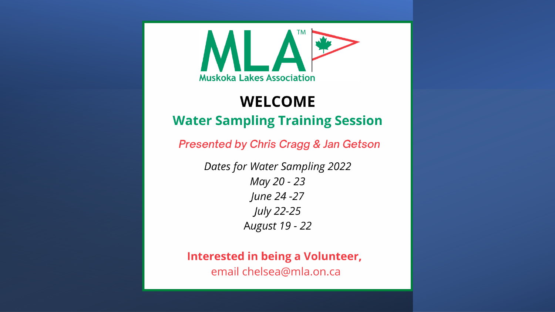

#### **WELCOME Water Sampling Training Session**

**Presented by Chris Cragg & Jan Getson** 

**Dates for Water Sampling 2022** May 20 - 23 June 24 - 27 **July 22-25** August 19 - 22

**Interested in being a Volunteer,** email chelsea@mla.on.ca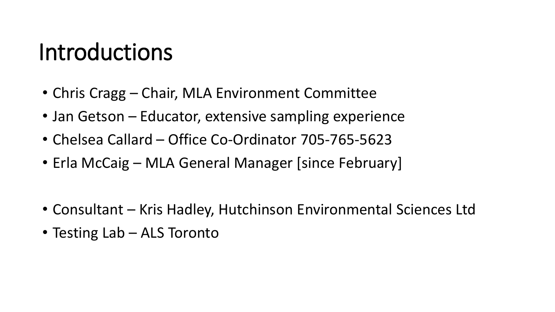#### Introductions

- Chris Cragg Chair, MLA Environment Committee
- Jan Getson Educator, extensive sampling experience
- Chelsea Callard Office Co-Ordinator 705-765-5623
- Erla McCaig MLA General Manager [since February]
- Consultant Kris Hadley, Hutchinson Environmental Sciences Ltd
- Testing Lab ALS Toronto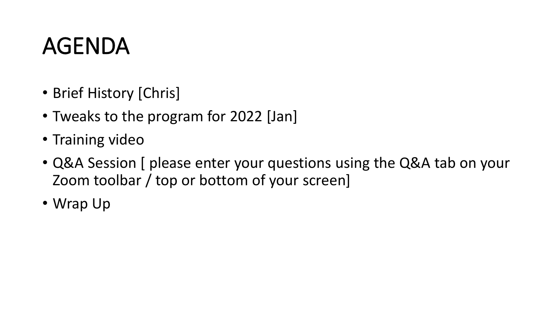### AGENDA

- Brief History [Chris]
- Tweaks to the program for 2022 [Jan]
- Training video
- Q&A Session [ please enter your questions using the Q&A tab on your Zoom toolbar / top or bottom of your screen]
- Wrap Up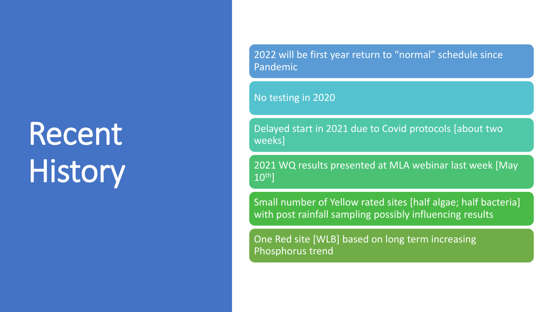# Recent **History**

2022 will be first year return to "normal" schedule since Pandemic

No testing in 2020

Delayed start in 2021 due to Covid protocols [about two weeks]

2021 WQ results presented at MLA webinar last week [May 10th]

Small number of Yellow rated sites [half algae; half bacteria] with post rainfall sampling possibly influencing results

One Red site [WLB] based on long term increasing Phosphorus trend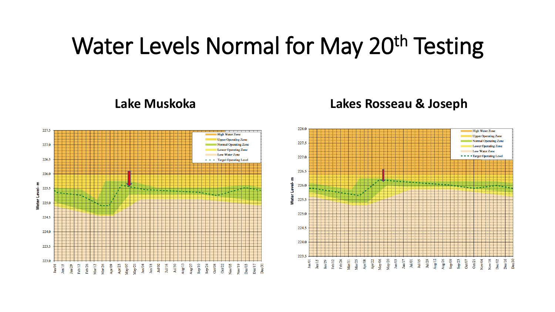#### Water Levels Normal for May 20<sup>th</sup> Testing





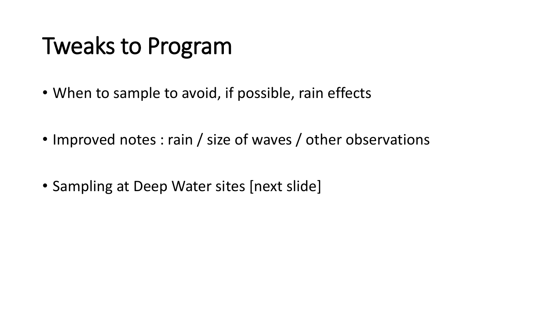### Tweaks to Program

- When to sample to avoid, if possible, rain effects
- Improved notes : rain / size of waves / other observations
- Sampling at Deep Water sites [next slide]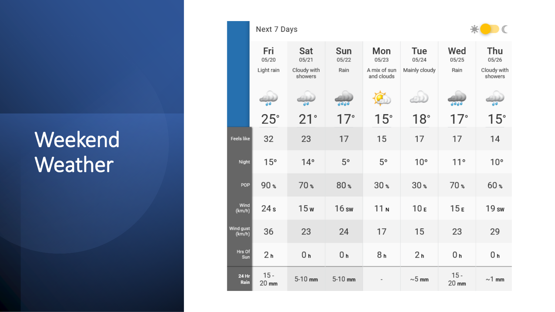#### Weekend Weather

|                      | Next 7 Days                |                                        |                      |                                            |                               |                      | $\mathbb{C}$                           |
|----------------------|----------------------------|----------------------------------------|----------------------|--------------------------------------------|-------------------------------|----------------------|----------------------------------------|
|                      | Fri<br>05/20<br>Light rain | Sat<br>05/21<br>Cloudy with<br>showers | Sun<br>05/22<br>Rain | Mon<br>05/23<br>A mix of sun<br>and clouds | Tue<br>05/24<br>Mainly cloudy | Wed<br>05/25<br>Rain | Thu<br>05/26<br>Cloudy with<br>showers |
|                      |                            |                                        | عدهه                 |                                            | G(1)                          | ەمەم                 |                                        |
|                      | $25^\circ$                 | $21^{\circ}$                           | 17°                  | $15^\circ$                                 | 18°                           | 17°                  | 15°                                    |
| <b>Feels like</b>    | 32                         | 23                                     | 17                   | 15                                         | 17                            | 17                   | 14                                     |
| Night                | 15°                        | $14^{\circ}$                           | $5^{\circ}$          | 5°                                         | 10 <sup>°</sup>               | $11^{\circ}$         | 10 <sup>°</sup>                        |
| POP                  | $90*$                      | 70 %                                   | 80 %                 | $30*$                                      | $30*$                         | 70 %                 | 60 %                                   |
| Wind<br>(km/h)       | 24 <sub>s</sub>            | 15w                                    | 16sw                 | 11 <sub>N</sub>                            | 10 <sub>E</sub>               | 15E                  | 19 sw                                  |
| Wind gust<br>(km/h)  | 36                         | 23                                     | 24                   | 17                                         | 15                            | 23                   | 29                                     |
| Hrs Of<br>Sun        | 2 <sub>h</sub>             | 0 <sub>h</sub>                         | 0 <sub>h</sub>       | 8 <sub>h</sub>                             | 2 <sub>h</sub>                | 0 h                  | 0 <sub>h</sub>                         |
| <b>24 Hr</b><br>Rain | $15 -$<br>20 mm            | $5-10$ mm                              | $5-10$ mm            |                                            | $\sim$ 5 mm                   | $15 -$<br>20 mm      | $\sim$ 1 mm                            |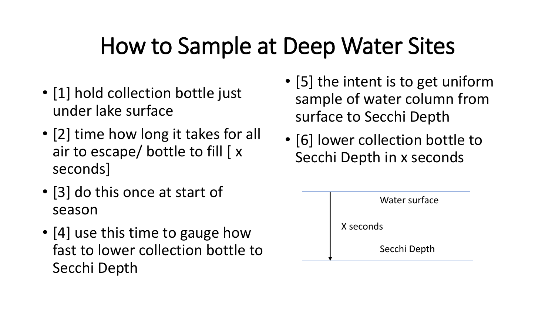### How to Sample at Deep Water Sites

- [1] hold collection bottle just under lake surface
- [2] time how long it takes for all air to escape/ bottle to fill [ x seconds]
- [3] do this once at start of season
- [4] use this time to gauge how fast to lower collection bottle to Secchi Depth
- [5] the intent is to get uniform sample of water column from surface to Secchi Depth
- [6] lower collection bottle to Secchi Depth in x seconds

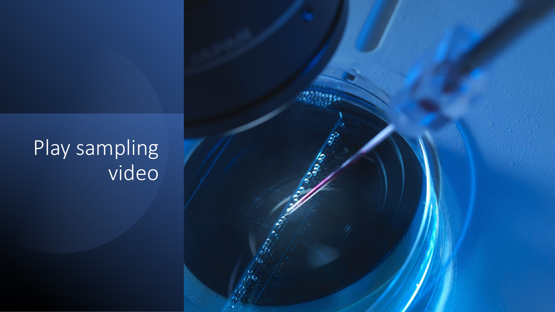#### Play sampling video

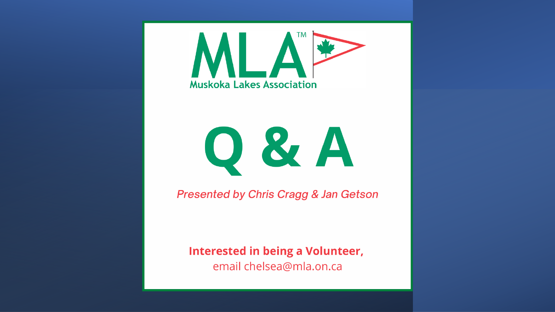

# O & A

**Presented by Chris Cragg & Jan Getson** 

**Interested in being a Volunteer,** email chelsea@mla.on.ca